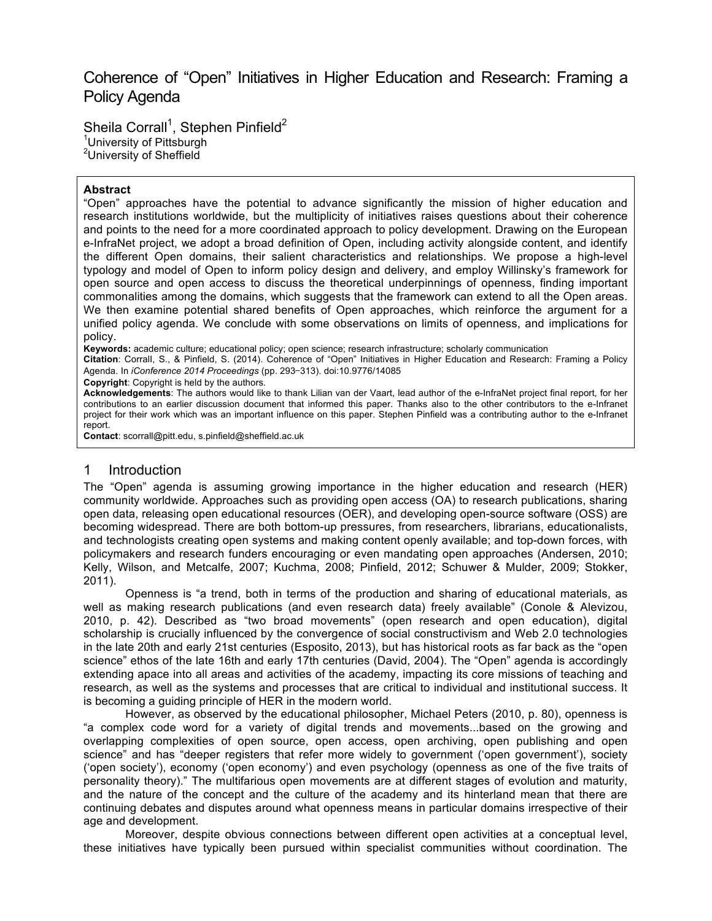# Coherence of "Open" Initiatives in Higher Education and Research: Framing a Policy Agenda

Sheila Corrall<sup>1</sup>, Stephen Pinfield<sup>2</sup> <sup>1</sup>University of Pittsburgh <sup>2</sup>University of Sheffield

#### **Abstract**

"Open" approaches have the potential to advance significantly the mission of higher education and research institutions worldwide, but the multiplicity of initiatives raises questions about their coherence and points to the need for a more coordinated approach to policy development. Drawing on the European e-InfraNet project, we adopt a broad definition of Open, including activity alongside content, and identify the different Open domains, their salient characteristics and relationships. We propose a high-level typology and model of Open to inform policy design and delivery, and employ Willinsky's framework for open source and open access to discuss the theoretical underpinnings of openness, finding important commonalities among the domains, which suggests that the framework can extend to all the Open areas. We then examine potential shared benefits of Open approaches, which reinforce the argument for a unified policy agenda. We conclude with some observations on limits of openness, and implications for policy.

**Keywords:** academic culture; educational policy; open science; research infrastructure; scholarly communication

**Citation**: CorralI, S., & Pinfield, S. (2014). Coherence of "Open" Initiatives in Higher Education and Research: Framing a Policy Agenda. In *iConference 2014 Proceedings* (pp. 293−313). doi:10.9776/14085

**Copyright**: Copyright is held by the authors.

**Acknowledgements**: The authors would like to thank Lilian van der Vaart, lead author of the e-InfraNet project final report, for her contributions to an earlier discussion document that informed this paper. Thanks also to the other contributors to the e-Infranet project for their work which was an important influence on this paper. Stephen Pinfield was a contributing author to the e-Infranet report.

**Contact**: scorrall@pitt.edu, s.pinfield@sheffield.ac.uk

#### 1 Introduction

The "Open" agenda is assuming growing importance in the higher education and research (HER) community worldwide. Approaches such as providing open access (OA) to research publications, sharing open data, releasing open educational resources (OER), and developing open-source software (OSS) are becoming widespread. There are both bottom-up pressures, from researchers, librarians, educationalists, and technologists creating open systems and making content openly available; and top-down forces, with policymakers and research funders encouraging or even mandating open approaches (Andersen, 2010; Kelly, Wilson, and Metcalfe, 2007; Kuchma, 2008; Pinfield, 2012; Schuwer & Mulder, 2009; Stokker, 2011).

Openness is "a trend, both in terms of the production and sharing of educational materials, as well as making research publications (and even research data) freely available" (Conole & Alevizou, 2010, p. 42). Described as "two broad movements" (open research and open education), digital scholarship is crucially influenced by the convergence of social constructivism and Web 2.0 technologies in the late 20th and early 21st centuries (Esposito, 2013), but has historical roots as far back as the "open science" ethos of the late 16th and early 17th centuries (David, 2004). The "Open" agenda is accordingly extending apace into all areas and activities of the academy, impacting its core missions of teaching and research, as well as the systems and processes that are critical to individual and institutional success. It is becoming a guiding principle of HER in the modern world.

However, as observed by the educational philosopher, Michael Peters (2010, p. 80), openness is "a complex code word for a variety of digital trends and movements...based on the growing and overlapping complexities of open source, open access, open archiving, open publishing and open science" and has "deeper registers that refer more widely to government ('open government'), society ('open society'), economy ('open economy') and even psychology (openness as one of the five traits of personality theory)." The multifarious open movements are at different stages of evolution and maturity, and the nature of the concept and the culture of the academy and its hinterland mean that there are continuing debates and disputes around what openness means in particular domains irrespective of their age and development.

Moreover, despite obvious connections between different open activities at a conceptual level, these initiatives have typically been pursued within specialist communities without coordination. The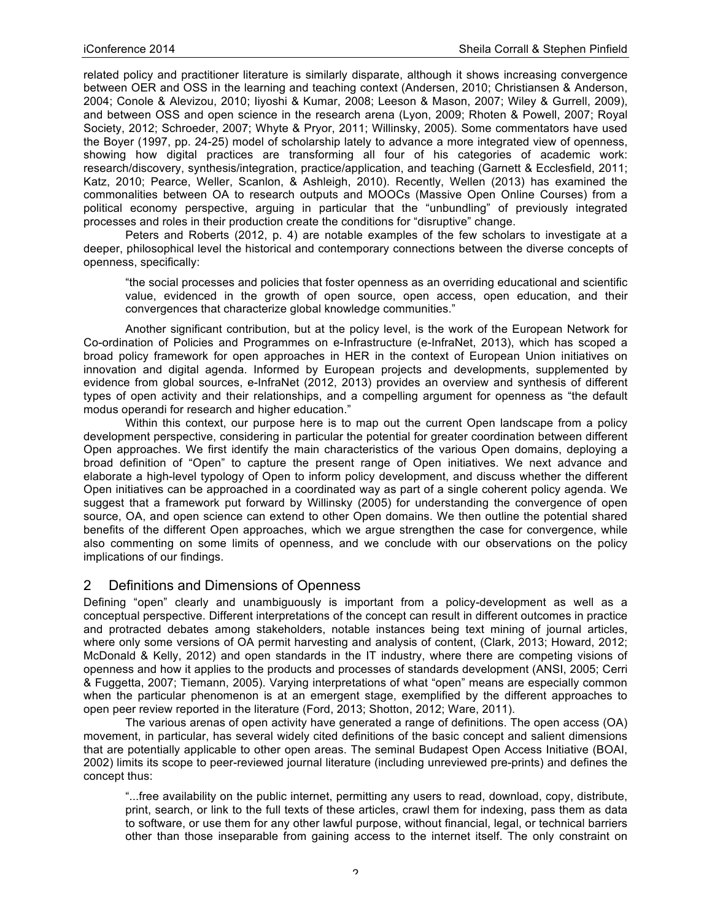related policy and practitioner literature is similarly disparate, although it shows increasing convergence between OER and OSS in the learning and teaching context (Andersen, 2010; Christiansen & Anderson, 2004; Conole & Alevizou, 2010; Iiyoshi & Kumar, 2008; Leeson & Mason, 2007; Wiley & Gurrell, 2009), and between OSS and open science in the research arena (Lyon, 2009; Rhoten & Powell, 2007; Royal Society, 2012; Schroeder, 2007; Whyte & Pryor, 2011; Willinsky, 2005). Some commentators have used the Boyer (1997, pp. 24-25) model of scholarship lately to advance a more integrated view of openness, showing how digital practices are transforming all four of his categories of academic work: research/discovery, synthesis/integration, practice/application, and teaching (Garnett & Ecclesfield, 2011; Katz, 2010; Pearce, Weller, Scanlon, & Ashleigh, 2010). Recently, Wellen (2013) has examined the commonalities between OA to research outputs and MOOCs (Massive Open Online Courses) from a political economy perspective, arguing in particular that the "unbundling" of previously integrated processes and roles in their production create the conditions for "disruptive" change.

Peters and Roberts (2012, p. 4) are notable examples of the few scholars to investigate at a deeper, philosophical level the historical and contemporary connections between the diverse concepts of openness, specifically:

"the social processes and policies that foster openness as an overriding educational and scientific value, evidenced in the growth of open source, open access, open education, and their convergences that characterize global knowledge communities."

Another significant contribution, but at the policy level, is the work of the European Network for Co-ordination of Policies and Programmes on e-Infrastructure (e-InfraNet, 2013), which has scoped a broad policy framework for open approaches in HER in the context of European Union initiatives on innovation and digital agenda. Informed by European projects and developments, supplemented by evidence from global sources, e-InfraNet (2012, 2013) provides an overview and synthesis of different types of open activity and their relationships, and a compelling argument for openness as "the default modus operandi for research and higher education."

Within this context, our purpose here is to map out the current Open landscape from a policy development perspective, considering in particular the potential for greater coordination between different Open approaches. We first identify the main characteristics of the various Open domains, deploying a broad definition of "Open" to capture the present range of Open initiatives. We next advance and elaborate a high-level typology of Open to inform policy development, and discuss whether the different Open initiatives can be approached in a coordinated way as part of a single coherent policy agenda. We suggest that a framework put forward by Willinsky (2005) for understanding the convergence of open source, OA, and open science can extend to other Open domains. We then outline the potential shared benefits of the different Open approaches, which we argue strengthen the case for convergence, while also commenting on some limits of openness, and we conclude with our observations on the policy implications of our findings.

## 2 Definitions and Dimensions of Openness

Defining "open" clearly and unambiguously is important from a policy-development as well as a conceptual perspective. Different interpretations of the concept can result in different outcomes in practice and protracted debates among stakeholders, notable instances being text mining of journal articles, where only some versions of OA permit harvesting and analysis of content, (Clark, 2013; Howard, 2012; McDonald & Kelly, 2012) and open standards in the IT industry, where there are competing visions of openness and how it applies to the products and processes of standards development (ANSI, 2005; Cerri & Fuggetta, 2007; Tiemann, 2005). Varying interpretations of what "open" means are especially common when the particular phenomenon is at an emergent stage, exemplified by the different approaches to open peer review reported in the literature (Ford, 2013; Shotton, 2012; Ware, 2011).

The various arenas of open activity have generated a range of definitions. The open access (OA) movement, in particular, has several widely cited definitions of the basic concept and salient dimensions that are potentially applicable to other open areas. The seminal Budapest Open Access Initiative (BOAI, 2002) limits its scope to peer-reviewed journal literature (including unreviewed pre-prints) and defines the concept thus:

"...free availability on the public internet, permitting any users to read, download, copy, distribute, print, search, or link to the full texts of these articles, crawl them for indexing, pass them as data to software, or use them for any other lawful purpose, without financial, legal, or technical barriers other than those inseparable from gaining access to the internet itself. The only constraint on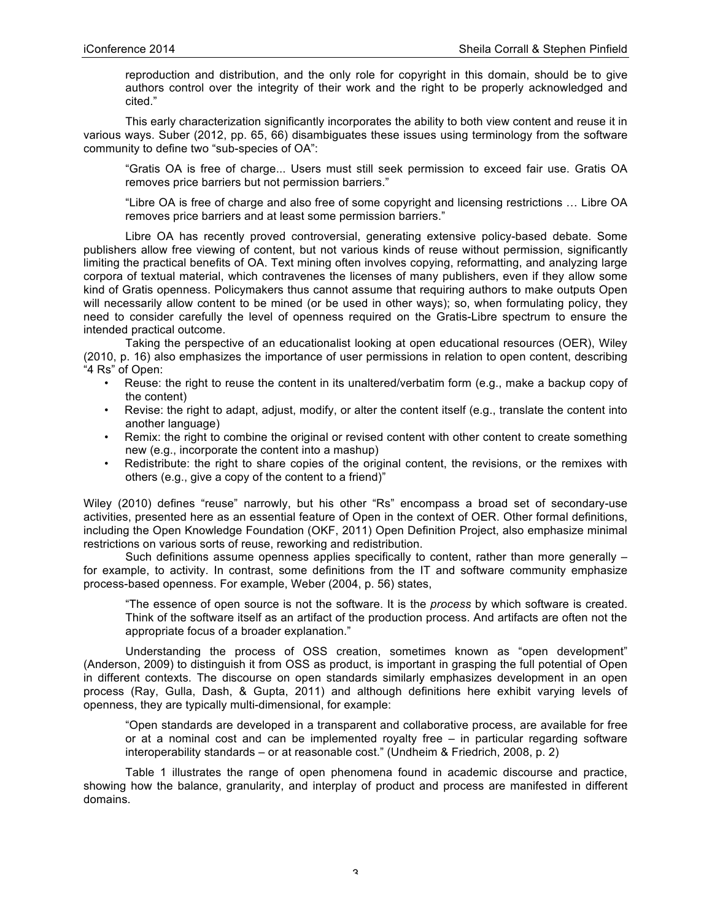reproduction and distribution, and the only role for copyright in this domain, should be to give authors control over the integrity of their work and the right to be properly acknowledged and cited."

This early characterization significantly incorporates the ability to both view content and reuse it in various ways. Suber (2012, pp. 65, 66) disambiguates these issues using terminology from the software community to define two "sub-species of OA":

"Gratis OA is free of charge... Users must still seek permission to exceed fair use. Gratis OA removes price barriers but not permission barriers."

"Libre OA is free of charge and also free of some copyright and licensing restrictions … Libre OA removes price barriers and at least some permission barriers."

Libre OA has recently proved controversial, generating extensive policy-based debate. Some publishers allow free viewing of content, but not various kinds of reuse without permission, significantly limiting the practical benefits of OA. Text mining often involves copying, reformatting, and analyzing large corpora of textual material, which contravenes the licenses of many publishers, even if they allow some kind of Gratis openness. Policymakers thus cannot assume that requiring authors to make outputs Open will necessarily allow content to be mined (or be used in other ways); so, when formulating policy, they need to consider carefully the level of openness required on the Gratis-Libre spectrum to ensure the intended practical outcome.

Taking the perspective of an educationalist looking at open educational resources (OER), Wiley (2010, p. 16) also emphasizes the importance of user permissions in relation to open content, describing "4 Rs" of Open:

- Reuse: the right to reuse the content in its unaltered/verbatim form (e.g., make a backup copy of the content)
- Revise: the right to adapt, adjust, modify, or alter the content itself (e.g., translate the content into another language)
- Remix: the right to combine the original or revised content with other content to create something new (e.g., incorporate the content into a mashup)
- Redistribute: the right to share copies of the original content, the revisions, or the remixes with others (e.g., give a copy of the content to a friend)"

Wiley (2010) defines "reuse" narrowly, but his other "Rs" encompass a broad set of secondary-use activities, presented here as an essential feature of Open in the context of OER. Other formal definitions, including the Open Knowledge Foundation (OKF, 2011) Open Definition Project, also emphasize minimal restrictions on various sorts of reuse, reworking and redistribution.

Such definitions assume openness applies specifically to content, rather than more generally – for example, to activity. In contrast, some definitions from the IT and software community emphasize process-based openness. For example, Weber (2004, p. 56) states,

"The essence of open source is not the software. It is the *process* by which software is created. Think of the software itself as an artifact of the production process. And artifacts are often not the appropriate focus of a broader explanation."

Understanding the process of OSS creation, sometimes known as "open development" (Anderson, 2009) to distinguish it from OSS as product, is important in grasping the full potential of Open in different contexts. The discourse on open standards similarly emphasizes development in an open process (Ray, Gulla, Dash, & Gupta, 2011) and although definitions here exhibit varying levels of openness, they are typically multi-dimensional, for example:

"Open standards are developed in a transparent and collaborative process, are available for free or at a nominal cost and can be implemented royalty free – in particular regarding software interoperability standards – or at reasonable cost." (Undheim & Friedrich, 2008, p. 2)

Table 1 illustrates the range of open phenomena found in academic discourse and practice, showing how the balance, granularity, and interplay of product and process are manifested in different domains.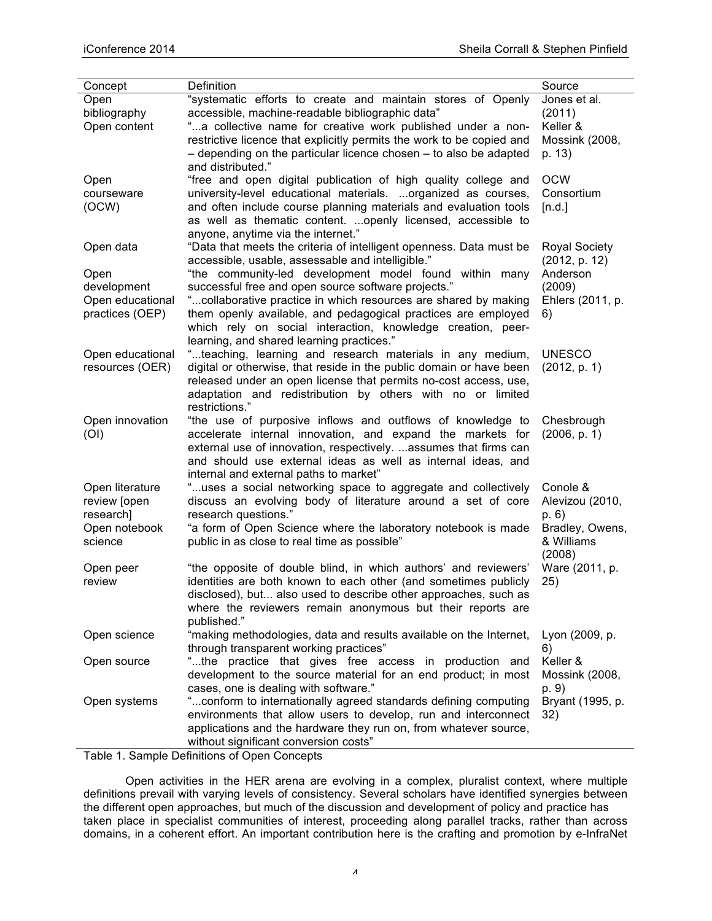| Concept          | Definition                                                            | Source               |
|------------------|-----------------------------------------------------------------------|----------------------|
| Open             | "systematic efforts to create and maintain stores of Openly           | Jones et al.         |
| bibliography     | accessible, machine-readable bibliographic data"                      | (2011)               |
| Open content     | "a collective name for creative work published under a non-           | Keller &             |
|                  | restrictive licence that explicitly permits the work to be copied and | Mossink (2008,       |
|                  |                                                                       |                      |
|                  | - depending on the particular licence chosen - to also be adapted     | p. 13)               |
|                  | and distributed."                                                     |                      |
| Open             | "free and open digital publication of high quality college and        | <b>OCW</b>           |
| courseware       | university-level educational materials. organized as courses,         | Consortium           |
| (OCW)            | and often include course planning materials and evaluation tools      | [n.d.]               |
|                  | as well as thematic content.  openly licensed, accessible to          |                      |
|                  | anyone, anytime via the internet."                                    |                      |
| Open data        | "Data that meets the criteria of intelligent openness. Data must be   | <b>Royal Society</b> |
|                  | accessible, usable, assessable and intelligible."                     | (2012, p. 12)        |
| Open             | "the community-led development model found within many                | Anderson             |
| development      | successful free and open source software projects."                   | (2009)               |
| Open educational | "collaborative practice in which resources are shared by making       | Ehlers (2011, p.     |
| practices (OEP)  | them openly available, and pedagogical practices are employed         | 6)                   |
|                  | which rely on social interaction, knowledge creation, peer-           |                      |
|                  | learning, and shared learning practices."                             |                      |
| Open educational | "teaching, learning and research materials in any medium,             | <b>UNESCO</b>        |
| resources (OER)  | digital or otherwise, that reside in the public domain or have been   | (2012, p. 1)         |
|                  | released under an open license that permits no-cost access, use,      |                      |
|                  | adaptation and redistribution by others with no or limited            |                      |
|                  | restrictions."                                                        |                      |
| Open innovation  | "the use of purposive inflows and outflows of knowledge to            | Chesbrough           |
| (OI)             | accelerate internal innovation, and expand the markets for            | (2006, p. 1)         |
|                  | external use of innovation, respectively.  assumes that firms can     |                      |
|                  | and should use external ideas as well as internal ideas, and          |                      |
|                  | internal and external paths to market"                                |                      |
| Open literature  | "uses a social networking space to aggregate and collectively         | Conole &             |
| review [open     | discuss an evolving body of literature around a set of core           | Alevizou (2010,      |
| research]        | research questions."                                                  | p. 6)                |
| Open notebook    | "a form of Open Science where the laboratory notebook is made         | Bradley, Owens,      |
| science          | public in as close to real time as possible"                          | & Williams           |
|                  |                                                                       | (2008)               |
| Open peer        | "the opposite of double blind, in which authors' and reviewers'       | Ware (2011, p.       |
| review           | identities are both known to each other (and sometimes publicly       | 25)                  |
|                  | disclosed), but also used to describe other approaches, such as       |                      |
|                  | where the reviewers remain anonymous but their reports are            |                      |
|                  | published."                                                           |                      |
| Open science     | "making methodologies, data and results available on the Internet,    | Lyon (2009, p.       |
|                  | through transparent working practices"                                | 6)                   |
| Open source      | "the practice that gives free access in production and                | Keller &             |
|                  | development to the source material for an end product; in most        | Mossink (2008,       |
|                  | cases, one is dealing with software."                                 | p. 9)                |
| Open systems     | " conform to internationally agreed standards defining computing      | Bryant (1995, p.     |
|                  | environments that allow users to develop, run and interconnect        | 32)                  |
|                  | applications and the hardware they run on, from whatever source,      |                      |
|                  | without significant conversion costs"                                 |                      |
|                  |                                                                       |                      |

Table 1. Sample Definitions of Open Concepts

Open activities in the HER arena are evolving in a complex, pluralist context, where multiple definitions prevail with varying levels of consistency. Several scholars have identified synergies between the different open approaches, but much of the discussion and development of policy and practice has taken place in specialist communities of interest, proceeding along parallel tracks, rather than across domains, in a coherent effort. An important contribution here is the crafting and promotion by e-InfraNet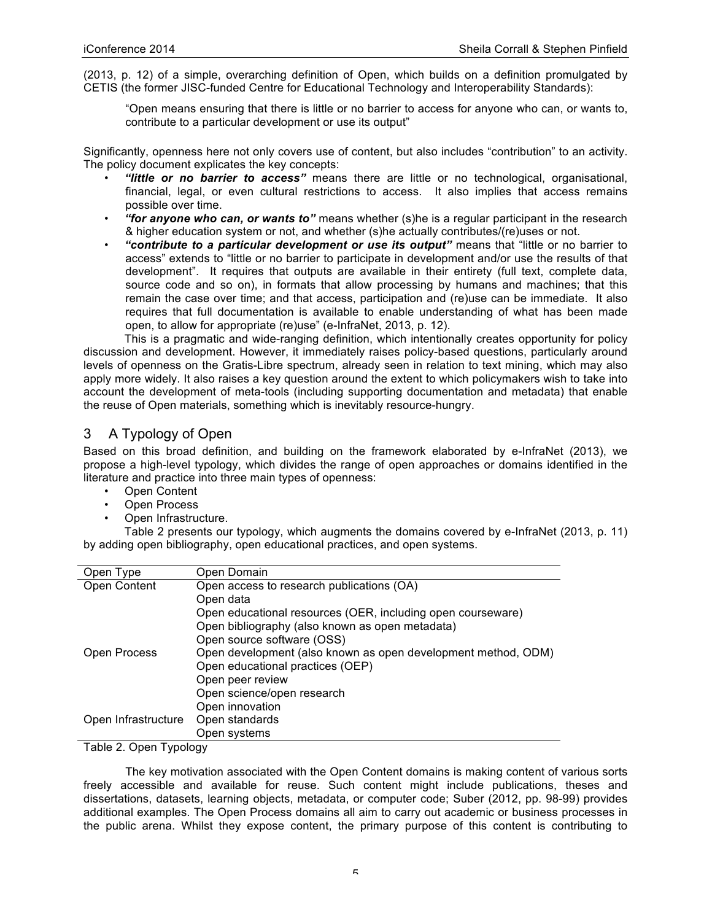(2013, p. 12) of a simple, overarching definition of Open, which builds on a definition promulgated by CETIS (the former JISC-funded Centre for Educational Technology and Interoperability Standards):

"Open means ensuring that there is little or no barrier to access for anyone who can, or wants to, contribute to a particular development or use its output"

Significantly, openness here not only covers use of content, but also includes "contribution" to an activity. The policy document explicates the key concepts:

- *"little or no barrier to access"* means there are little or no technological, organisational, financial, legal, or even cultural restrictions to access. It also implies that access remains possible over time.
- *"for anyone who can, or wants to"* means whether (s)he is a regular participant in the research & higher education system or not, and whether (s)he actually contributes/(re)uses or not.
- *"contribute to a particular development or use its output"* means that "little or no barrier to access" extends to "little or no barrier to participate in development and/or use the results of that development". It requires that outputs are available in their entirety (full text, complete data, source code and so on), in formats that allow processing by humans and machines; that this remain the case over time; and that access, participation and (re)use can be immediate. It also requires that full documentation is available to enable understanding of what has been made open, to allow for appropriate (re)use" (e-InfraNet, 2013, p. 12).

This is a pragmatic and wide-ranging definition, which intentionally creates opportunity for policy discussion and development. However, it immediately raises policy-based questions, particularly around levels of openness on the Gratis-Libre spectrum, already seen in relation to text mining, which may also apply more widely. It also raises a key question around the extent to which policymakers wish to take into account the development of meta-tools (including supporting documentation and metadata) that enable the reuse of Open materials, something which is inevitably resource-hungry.

# 3 A Typology of Open

Based on this broad definition, and building on the framework elaborated by e-InfraNet (2013), we propose a high-level typology, which divides the range of open approaches or domains identified in the literature and practice into three main types of openness:

- Open Content
- Open Process
- Open Infrastructure.

Table 2 presents our typology, which augments the domains covered by e-InfraNet (2013, p. 11) by adding open bibliography, open educational practices, and open systems.

| Open Type           | Open Domain                                                   |  |  |
|---------------------|---------------------------------------------------------------|--|--|
| <b>Open Content</b> | Open access to research publications (OA)                     |  |  |
|                     | Open data                                                     |  |  |
|                     | Open educational resources (OER, including open courseware)   |  |  |
|                     | Open bibliography (also known as open metadata)               |  |  |
|                     | Open source software (OSS)                                    |  |  |
| Open Process        | Open development (also known as open development method, ODM) |  |  |
|                     | Open educational practices (OEP)                              |  |  |
|                     | Open peer review                                              |  |  |
|                     | Open science/open research                                    |  |  |
|                     | Open innovation                                               |  |  |
| Open Infrastructure | Open standards                                                |  |  |
|                     | Open systems                                                  |  |  |

Table 2. Open Typology

The key motivation associated with the Open Content domains is making content of various sorts freely accessible and available for reuse. Such content might include publications, theses and dissertations, datasets, learning objects, metadata, or computer code; Suber (2012, pp. 98-99) provides additional examples. The Open Process domains all aim to carry out academic or business processes in the public arena. Whilst they expose content, the primary purpose of this content is contributing to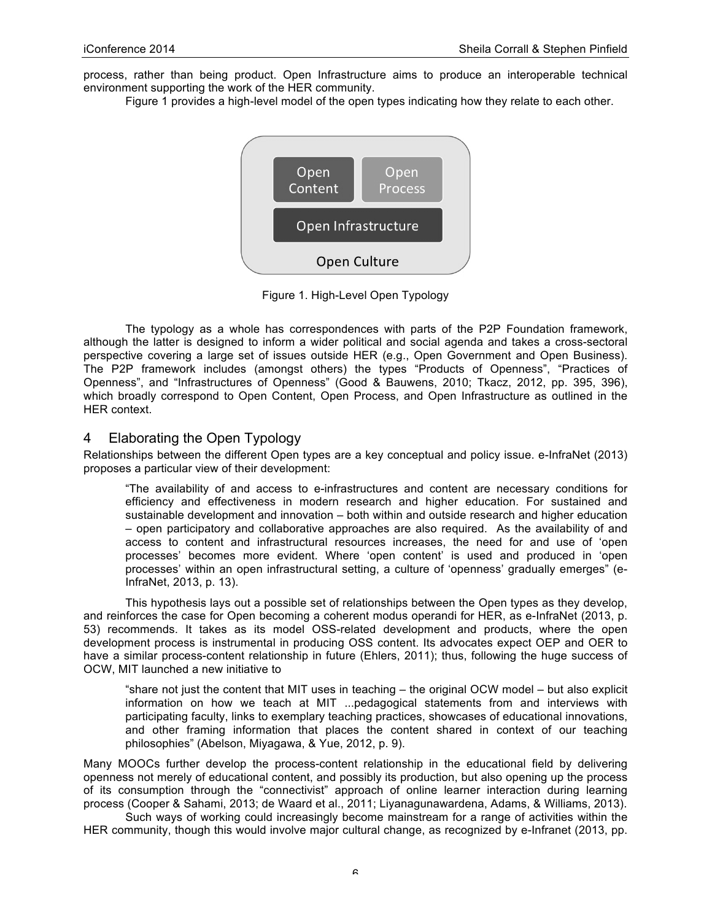process, rather than being product. Open Infrastructure aims to produce an interoperable technical environment supporting the work of the HER community.

Figure 1 provides a high-level model of the open types indicating how they relate to each other.



Figure 1. High-Level Open Typology

The typology as a whole has correspondences with parts of the P2P Foundation framework, although the latter is designed to inform a wider political and social agenda and takes a cross-sectoral perspective covering a large set of issues outside HER (e.g., Open Government and Open Business). The P2P framework includes (amongst others) the types "Products of Openness", "Practices of Openness", and "Infrastructures of Openness" (Good & Bauwens, 2010; Tkacz, 2012, pp. 395, 396), which broadly correspond to Open Content, Open Process, and Open Infrastructure as outlined in the HER context.

### 4 Elaborating the Open Typology

Relationships between the different Open types are a key conceptual and policy issue. e-InfraNet (2013) proposes a particular view of their development:

"The availability of and access to e-infrastructures and content are necessary conditions for efficiency and effectiveness in modern research and higher education. For sustained and sustainable development and innovation – both within and outside research and higher education – open participatory and collaborative approaches are also required. As the availability of and access to content and infrastructural resources increases, the need for and use of 'open processes' becomes more evident. Where 'open content' is used and produced in 'open processes' within an open infrastructural setting, a culture of 'openness' gradually emerges" (e-InfraNet, 2013, p. 13).

This hypothesis lays out a possible set of relationships between the Open types as they develop, and reinforces the case for Open becoming a coherent modus operandi for HER, as e-InfraNet (2013, p. 53) recommends. It takes as its model OSS-related development and products, where the open development process is instrumental in producing OSS content. Its advocates expect OEP and OER to have a similar process-content relationship in future (Ehlers, 2011); thus, following the huge success of OCW, MIT launched a new initiative to

"share not just the content that MIT uses in teaching – the original OCW model – but also explicit information on how we teach at MIT ...pedagogical statements from and interviews with participating faculty, links to exemplary teaching practices, showcases of educational innovations, and other framing information that places the content shared in context of our teaching philosophies" (Abelson, Miyagawa, & Yue, 2012, p. 9).

Many MOOCs further develop the process-content relationship in the educational field by delivering openness not merely of educational content, and possibly its production, but also opening up the process of its consumption through the "connectivist" approach of online learner interaction during learning process (Cooper & Sahami, 2013; de Waard et al., 2011; Liyanagunawardena, Adams, & Williams, 2013).

Such ways of working could increasingly become mainstream for a range of activities within the HER community, though this would involve major cultural change, as recognized by e-Infranet (2013, pp.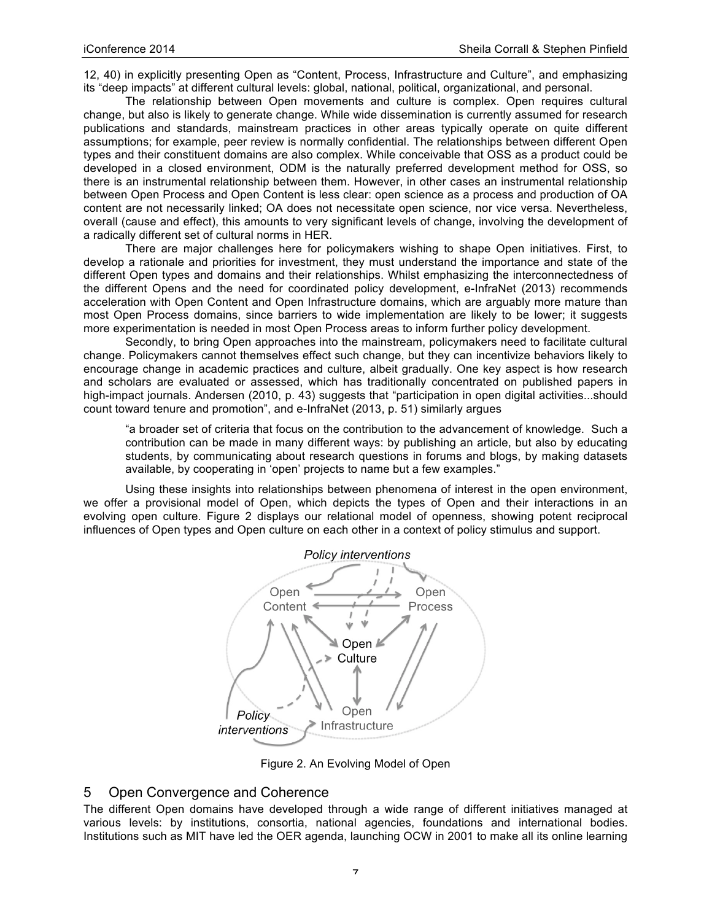12, 40) in explicitly presenting Open as "Content, Process, Infrastructure and Culture", and emphasizing its "deep impacts" at different cultural levels: global, national, political, organizational, and personal.

The relationship between Open movements and culture is complex. Open requires cultural change, but also is likely to generate change. While wide dissemination is currently assumed for research publications and standards, mainstream practices in other areas typically operate on quite different assumptions; for example, peer review is normally confidential. The relationships between different Open types and their constituent domains are also complex. While conceivable that OSS as a product could be developed in a closed environment, ODM is the naturally preferred development method for OSS, so there is an instrumental relationship between them. However, in other cases an instrumental relationship between Open Process and Open Content is less clear: open science as a process and production of OA content are not necessarily linked; OA does not necessitate open science, nor vice versa. Nevertheless, overall (cause and effect), this amounts to very significant levels of change, involving the development of a radically different set of cultural norms in HER.

There are major challenges here for policymakers wishing to shape Open initiatives. First, to develop a rationale and priorities for investment, they must understand the importance and state of the different Open types and domains and their relationships. Whilst emphasizing the interconnectedness of the different Opens and the need for coordinated policy development, e-InfraNet (2013) recommends acceleration with Open Content and Open Infrastructure domains, which are arguably more mature than most Open Process domains, since barriers to wide implementation are likely to be lower; it suggests more experimentation is needed in most Open Process areas to inform further policy development.

Secondly, to bring Open approaches into the mainstream, policymakers need to facilitate cultural change. Policymakers cannot themselves effect such change, but they can incentivize behaviors likely to encourage change in academic practices and culture, albeit gradually. One key aspect is how research and scholars are evaluated or assessed, which has traditionally concentrated on published papers in high-impact journals. Andersen (2010, p. 43) suggests that "participation in open digital activities...should count toward tenure and promotion", and e-InfraNet (2013, p. 51) similarly argues

"a broader set of criteria that focus on the contribution to the advancement of knowledge. Such a contribution can be made in many different ways: by publishing an article, but also by educating students, by communicating about research questions in forums and blogs, by making datasets available, by cooperating in 'open' projects to name but a few examples."

Using these insights into relationships between phenomena of interest in the open environment, we offer a provisional model of Open, which depicts the types of Open and their interactions in an evolving open culture. Figure 2 displays our relational model of openness, showing potent reciprocal influences of Open types and Open culture on each other in a context of policy stimulus and support.



Figure 2. An Evolving Model of Open

## 5 Open Convergence and Coherence

The different Open domains have developed through a wide range of different initiatives managed at various levels: by institutions, consortia, national agencies, foundations and international bodies. Institutions such as MIT have led the OER agenda, launching OCW in 2001 to make all its online learning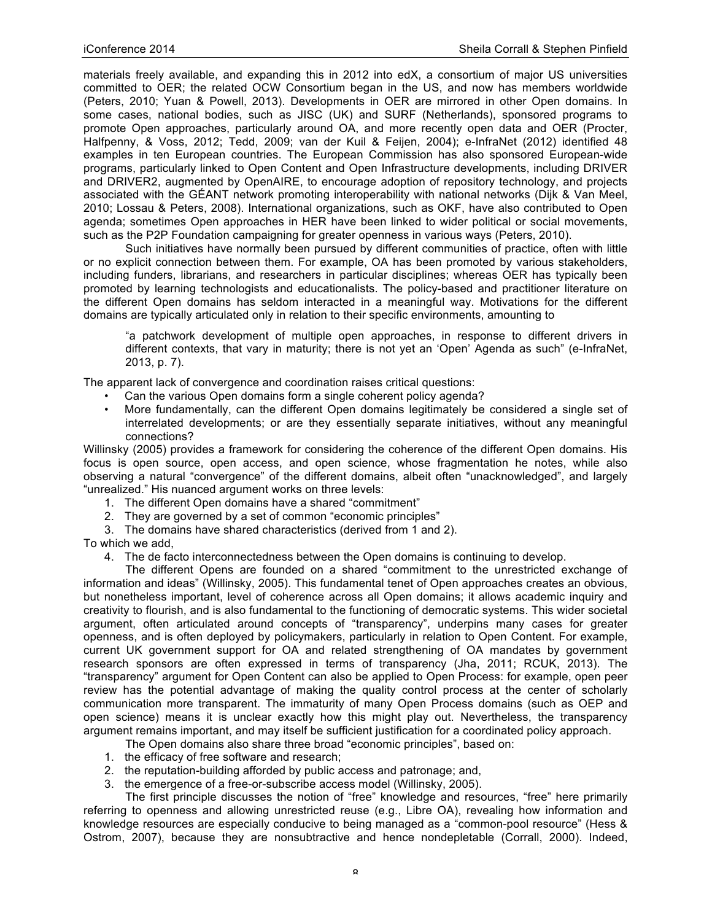materials freely available, and expanding this in 2012 into edX, a consortium of major US universities committed to OER; the related OCW Consortium began in the US, and now has members worldwide (Peters, 2010; Yuan & Powell, 2013). Developments in OER are mirrored in other Open domains. In some cases, national bodies, such as JISC (UK) and SURF (Netherlands), sponsored programs to promote Open approaches, particularly around OA, and more recently open data and OER (Procter, Halfpenny, & Voss, 2012; Tedd, 2009; van der Kuil & Feijen, 2004); e-InfraNet (2012) identified 48 examples in ten European countries. The European Commission has also sponsored European-wide programs, particularly linked to Open Content and Open Infrastructure developments, including DRIVER and DRIVER2, augmented by OpenAIRE, to encourage adoption of repository technology, and projects associated with the GÉANT network promoting interoperability with national networks (Dijk & Van Meel, 2010; Lossau & Peters, 2008). International organizations, such as OKF, have also contributed to Open agenda; sometimes Open approaches in HER have been linked to wider political or social movements, such as the P2P Foundation campaigning for greater openness in various ways (Peters, 2010).

Such initiatives have normally been pursued by different communities of practice, often with little or no explicit connection between them. For example, OA has been promoted by various stakeholders, including funders, librarians, and researchers in particular disciplines; whereas OER has typically been promoted by learning technologists and educationalists. The policy-based and practitioner literature on the different Open domains has seldom interacted in a meaningful way. Motivations for the different domains are typically articulated only in relation to their specific environments, amounting to

"a patchwork development of multiple open approaches, in response to different drivers in different contexts, that vary in maturity; there is not yet an 'Open' Agenda as such" (e-InfraNet, 2013, p. 7).

The apparent lack of convergence and coordination raises critical questions:

- Can the various Open domains form a single coherent policy agenda?
- More fundamentally, can the different Open domains legitimately be considered a single set of interrelated developments; or are they essentially separate initiatives, without any meaningful connections?

Willinsky (2005) provides a framework for considering the coherence of the different Open domains. His focus is open source, open access, and open science, whose fragmentation he notes, while also observing a natural "convergence" of the different domains, albeit often "unacknowledged", and largely "unrealized." His nuanced argument works on three levels:

- 1. The different Open domains have a shared "commitment"
- 2. They are governed by a set of common "economic principles"
- 3. The domains have shared characteristics (derived from 1 and 2).

To which we add,

4. The de facto interconnectedness between the Open domains is continuing to develop.

The different Opens are founded on a shared "commitment to the unrestricted exchange of information and ideas" (Willinsky, 2005). This fundamental tenet of Open approaches creates an obvious, but nonetheless important, level of coherence across all Open domains; it allows academic inquiry and creativity to flourish, and is also fundamental to the functioning of democratic systems. This wider societal argument, often articulated around concepts of "transparency", underpins many cases for greater openness, and is often deployed by policymakers, particularly in relation to Open Content. For example, current UK government support for OA and related strengthening of OA mandates by government research sponsors are often expressed in terms of transparency (Jha, 2011; RCUK, 2013). The "transparency" argument for Open Content can also be applied to Open Process: for example, open peer review has the potential advantage of making the quality control process at the center of scholarly communication more transparent. The immaturity of many Open Process domains (such as OEP and open science) means it is unclear exactly how this might play out. Nevertheless, the transparency argument remains important, and may itself be sufficient justification for a coordinated policy approach.

- The Open domains also share three broad "economic principles", based on:
- 1. the efficacy of free software and research;
- 2. the reputation-building afforded by public access and patronage; and,
- 3. the emergence of a free-or-subscribe access model (Willinsky, 2005).

The first principle discusses the notion of "free" knowledge and resources, "free" here primarily referring to openness and allowing unrestricted reuse (e.g., Libre OA), revealing how information and knowledge resources are especially conducive to being managed as a "common-pool resource" (Hess & Ostrom, 2007), because they are nonsubtractive and hence nondepletable (Corrall, 2000). Indeed,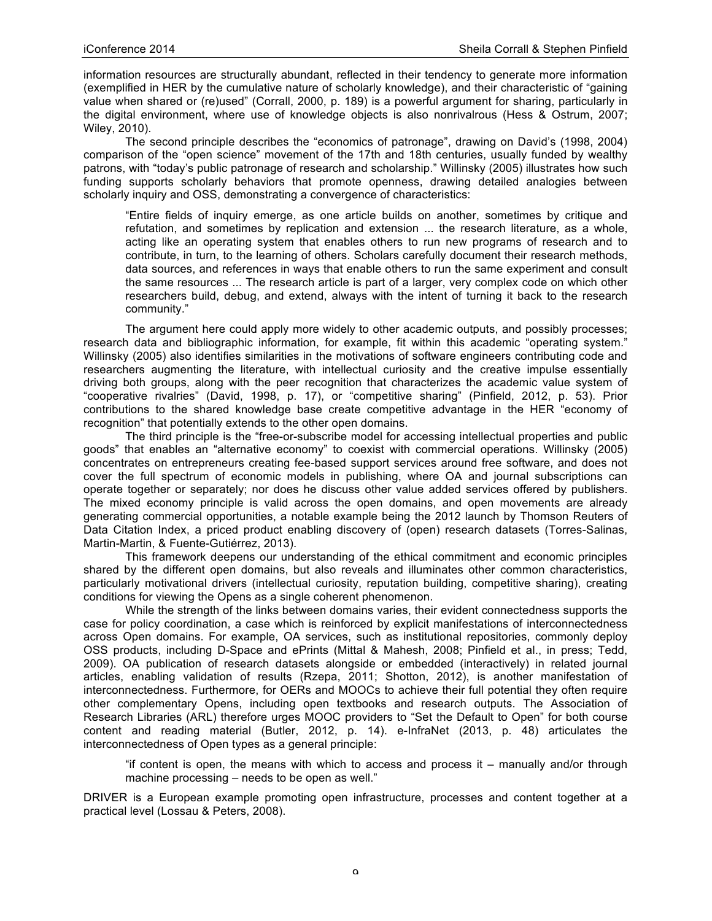information resources are structurally abundant, reflected in their tendency to generate more information (exemplified in HER by the cumulative nature of scholarly knowledge), and their characteristic of "gaining value when shared or (re)used" (Corrall, 2000, p. 189) is a powerful argument for sharing, particularly in the digital environment, where use of knowledge objects is also nonrivalrous (Hess & Ostrum, 2007; Wiley, 2010).

The second principle describes the "economics of patronage", drawing on David's (1998, 2004) comparison of the "open science" movement of the 17th and 18th centuries, usually funded by wealthy patrons, with "today's public patronage of research and scholarship." Willinsky (2005) illustrates how such funding supports scholarly behaviors that promote openness, drawing detailed analogies between scholarly inquiry and OSS, demonstrating a convergence of characteristics:

"Entire fields of inquiry emerge, as one article builds on another, sometimes by critique and refutation, and sometimes by replication and extension ... the research literature, as a whole, acting like an operating system that enables others to run new programs of research and to contribute, in turn, to the learning of others. Scholars carefully document their research methods, data sources, and references in ways that enable others to run the same experiment and consult the same resources ... The research article is part of a larger, very complex code on which other researchers build, debug, and extend, always with the intent of turning it back to the research community."

The argument here could apply more widely to other academic outputs, and possibly processes; research data and bibliographic information, for example, fit within this academic "operating system." Willinsky (2005) also identifies similarities in the motivations of software engineers contributing code and researchers augmenting the literature, with intellectual curiosity and the creative impulse essentially driving both groups, along with the peer recognition that characterizes the academic value system of "cooperative rivalries" (David, 1998, p. 17), or "competitive sharing" (Pinfield, 2012, p. 53). Prior contributions to the shared knowledge base create competitive advantage in the HER "economy of recognition" that potentially extends to the other open domains.

The third principle is the "free-or-subscribe model for accessing intellectual properties and public goods" that enables an "alternative economy" to coexist with commercial operations. Willinsky (2005) concentrates on entrepreneurs creating fee-based support services around free software, and does not cover the full spectrum of economic models in publishing, where OA and journal subscriptions can operate together or separately; nor does he discuss other value added services offered by publishers. The mixed economy principle is valid across the open domains, and open movements are already generating commercial opportunities, a notable example being the 2012 launch by Thomson Reuters of Data Citation Index, a priced product enabling discovery of (open) research datasets (Torres-Salinas, Martin-Martin, & Fuente-Gutiérrez, 2013).

This framework deepens our understanding of the ethical commitment and economic principles shared by the different open domains, but also reveals and illuminates other common characteristics, particularly motivational drivers (intellectual curiosity, reputation building, competitive sharing), creating conditions for viewing the Opens as a single coherent phenomenon.

While the strength of the links between domains varies, their evident connectedness supports the case for policy coordination, a case which is reinforced by explicit manifestations of interconnectedness across Open domains. For example, OA services, such as institutional repositories, commonly deploy OSS products, including D-Space and ePrints (Mittal & Mahesh, 2008; Pinfield et al., in press; Tedd, 2009). OA publication of research datasets alongside or embedded (interactively) in related journal articles, enabling validation of results (Rzepa, 2011; Shotton, 2012), is another manifestation of interconnectedness. Furthermore, for OERs and MOOCs to achieve their full potential they often require other complementary Opens, including open textbooks and research outputs. The Association of Research Libraries (ARL) therefore urges MOOC providers to "Set the Default to Open" for both course content and reading material (Butler, 2012, p. 14). e-InfraNet (2013, p. 48) articulates the interconnectedness of Open types as a general principle:

"if content is open, the means with which to access and process it – manually and/or through machine processing – needs to be open as well."

DRIVER is a European example promoting open infrastructure, processes and content together at a practical level (Lossau & Peters, 2008).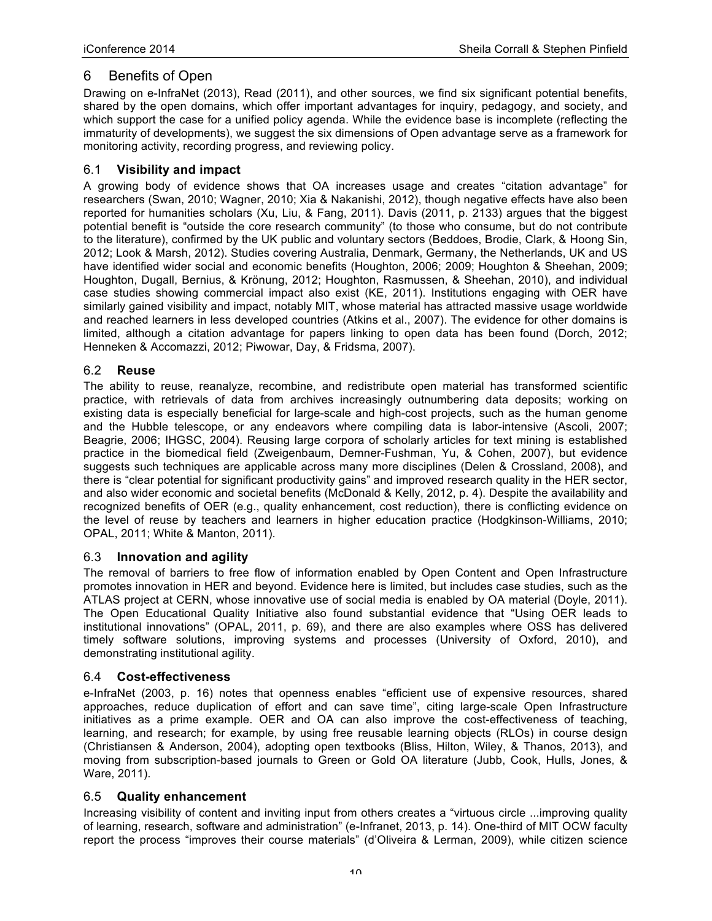# 6 Benefits of Open

Drawing on e-InfraNet (2013), Read (2011), and other sources, we find six significant potential benefits, shared by the open domains, which offer important advantages for inquiry, pedagogy, and society, and which support the case for a unified policy agenda. While the evidence base is incomplete (reflecting the immaturity of developments), we suggest the six dimensions of Open advantage serve as a framework for monitoring activity, recording progress, and reviewing policy.

## 6.1 **Visibility and impact**

A growing body of evidence shows that OA increases usage and creates "citation advantage" for researchers (Swan, 2010; Wagner, 2010; Xia & Nakanishi, 2012), though negative effects have also been reported for humanities scholars (Xu, Liu, & Fang, 2011). Davis (2011, p. 2133) argues that the biggest potential benefit is "outside the core research community" (to those who consume, but do not contribute to the literature), confirmed by the UK public and voluntary sectors (Beddoes, Brodie, Clark, & Hoong Sin, 2012; Look & Marsh, 2012). Studies covering Australia, Denmark, Germany, the Netherlands, UK and US have identified wider social and economic benefits (Houghton, 2006; 2009; Houghton & Sheehan, 2009; Houghton, Dugall, Bernius, & Krönung, 2012; Houghton, Rasmussen, & Sheehan, 2010), and individual case studies showing commercial impact also exist (KE, 2011). Institutions engaging with OER have similarly gained visibility and impact, notably MIT, whose material has attracted massive usage worldwide and reached learners in less developed countries (Atkins et al., 2007). The evidence for other domains is limited, although a citation advantage for papers linking to open data has been found (Dorch, 2012; Henneken & Accomazzi, 2012; Piwowar, Day, & Fridsma, 2007).

### 6.2 **Reuse**

The ability to reuse, reanalyze, recombine, and redistribute open material has transformed scientific practice, with retrievals of data from archives increasingly outnumbering data deposits; working on existing data is especially beneficial for large-scale and high-cost projects, such as the human genome and the Hubble telescope, or any endeavors where compiling data is labor-intensive (Ascoli, 2007; Beagrie, 2006; IHGSC, 2004). Reusing large corpora of scholarly articles for text mining is established practice in the biomedical field (Zweigenbaum, Demner-Fushman, Yu, & Cohen, 2007), but evidence suggests such techniques are applicable across many more disciplines (Delen & Crossland, 2008), and there is "clear potential for significant productivity gains" and improved research quality in the HER sector, and also wider economic and societal benefits (McDonald & Kelly, 2012, p. 4). Despite the availability and recognized benefits of OER (e.g., quality enhancement, cost reduction), there is conflicting evidence on the level of reuse by teachers and learners in higher education practice (Hodgkinson-Williams, 2010; OPAL, 2011; White & Manton, 2011).

### 6.3 **Innovation and agility**

The removal of barriers to free flow of information enabled by Open Content and Open Infrastructure promotes innovation in HER and beyond. Evidence here is limited, but includes case studies, such as the ATLAS project at CERN, whose innovative use of social media is enabled by OA material (Doyle, 2011). The Open Educational Quality Initiative also found substantial evidence that "Using OER leads to institutional innovations" (OPAL, 2011, p. 69), and there are also examples where OSS has delivered timely software solutions, improving systems and processes (University of Oxford, 2010), and demonstrating institutional agility.

### 6.4 **Cost-effectiveness**

e-InfraNet (2003, p. 16) notes that openness enables "efficient use of expensive resources, shared approaches, reduce duplication of effort and can save time", citing large-scale Open Infrastructure initiatives as a prime example. OER and OA can also improve the cost-effectiveness of teaching, learning, and research; for example, by using free reusable learning objects (RLOs) in course design (Christiansen & Anderson, 2004), adopting open textbooks (Bliss, Hilton, Wiley, & Thanos, 2013), and moving from subscription-based journals to Green or Gold OA literature (Jubb, Cook, Hulls, Jones, & Ware, 2011).

## 6.5 **Quality enhancement**

Increasing visibility of content and inviting input from others creates a "virtuous circle ...improving quality of learning, research, software and administration" (e-Infranet, 2013, p. 14). One-third of MIT OCW faculty report the process "improves their course materials" (d'Oliveira & Lerman, 2009), while citizen science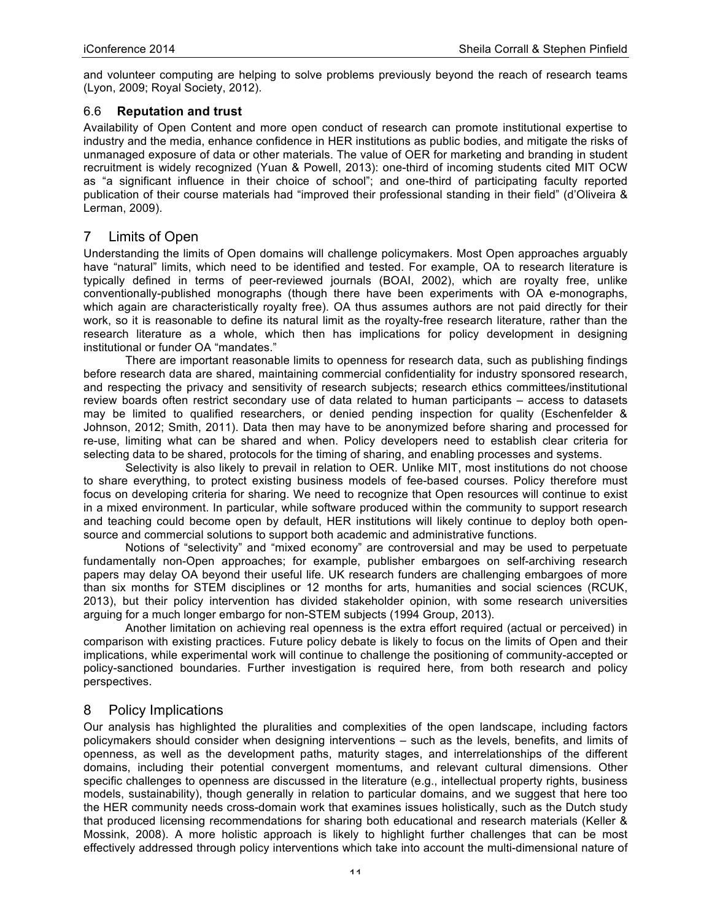and volunteer computing are helping to solve problems previously beyond the reach of research teams (Lyon, 2009; Royal Society, 2012).

### 6.6 **Reputation and trust**

Availability of Open Content and more open conduct of research can promote institutional expertise to industry and the media, enhance confidence in HER institutions as public bodies, and mitigate the risks of unmanaged exposure of data or other materials. The value of OER for marketing and branding in student recruitment is widely recognized (Yuan & Powell, 2013): one-third of incoming students cited MIT OCW as "a significant influence in their choice of school"; and one-third of participating faculty reported publication of their course materials had "improved their professional standing in their field" (d'Oliveira & Lerman, 2009).

### 7 Limits of Open

Understanding the limits of Open domains will challenge policymakers. Most Open approaches arguably have "natural" limits, which need to be identified and tested. For example, OA to research literature is typically defined in terms of peer-reviewed journals (BOAI, 2002), which are royalty free, unlike conventionally-published monographs (though there have been experiments with OA e-monographs, which again are characteristically royalty free). OA thus assumes authors are not paid directly for their work, so it is reasonable to define its natural limit as the royalty-free research literature, rather than the research literature as a whole, which then has implications for policy development in designing institutional or funder OA "mandates."

There are important reasonable limits to openness for research data, such as publishing findings before research data are shared, maintaining commercial confidentiality for industry sponsored research, and respecting the privacy and sensitivity of research subjects; research ethics committees/institutional review boards often restrict secondary use of data related to human participants – access to datasets may be limited to qualified researchers, or denied pending inspection for quality (Eschenfelder & Johnson, 2012; Smith, 2011). Data then may have to be anonymized before sharing and processed for re-use, limiting what can be shared and when. Policy developers need to establish clear criteria for selecting data to be shared, protocols for the timing of sharing, and enabling processes and systems.

Selectivity is also likely to prevail in relation to OER. Unlike MIT, most institutions do not choose to share everything, to protect existing business models of fee-based courses. Policy therefore must focus on developing criteria for sharing. We need to recognize that Open resources will continue to exist in a mixed environment. In particular, while software produced within the community to support research and teaching could become open by default, HER institutions will likely continue to deploy both opensource and commercial solutions to support both academic and administrative functions.

Notions of "selectivity" and "mixed economy" are controversial and may be used to perpetuate fundamentally non-Open approaches; for example, publisher embargoes on self-archiving research papers may delay OA beyond their useful life. UK research funders are challenging embargoes of more than six months for STEM disciplines or 12 months for arts, humanities and social sciences (RCUK, 2013), but their policy intervention has divided stakeholder opinion, with some research universities arguing for a much longer embargo for non-STEM subjects (1994 Group, 2013).

Another limitation on achieving real openness is the extra effort required (actual or perceived) in comparison with existing practices. Future policy debate is likely to focus on the limits of Open and their implications, while experimental work will continue to challenge the positioning of community-accepted or policy-sanctioned boundaries. Further investigation is required here, from both research and policy perspectives.

## 8 Policy Implications

Our analysis has highlighted the pluralities and complexities of the open landscape, including factors policymakers should consider when designing interventions – such as the levels, benefits, and limits of openness, as well as the development paths, maturity stages, and interrelationships of the different domains, including their potential convergent momentums, and relevant cultural dimensions. Other specific challenges to openness are discussed in the literature (e.g., intellectual property rights, business models, sustainability), though generally in relation to particular domains, and we suggest that here too the HER community needs cross-domain work that examines issues holistically, such as the Dutch study that produced licensing recommendations for sharing both educational and research materials (Keller & Mossink, 2008). A more holistic approach is likely to highlight further challenges that can be most effectively addressed through policy interventions which take into account the multi-dimensional nature of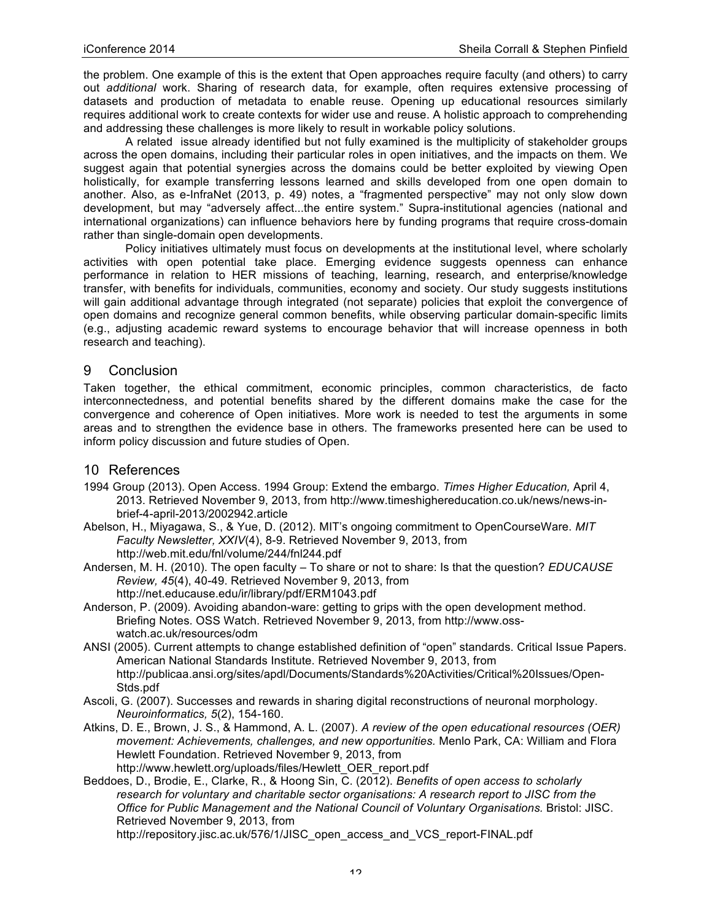the problem. One example of this is the extent that Open approaches require faculty (and others) to carry out *additional* work. Sharing of research data, for example, often requires extensive processing of datasets and production of metadata to enable reuse. Opening up educational resources similarly requires additional work to create contexts for wider use and reuse. A holistic approach to comprehending and addressing these challenges is more likely to result in workable policy solutions.

A related issue already identified but not fully examined is the multiplicity of stakeholder groups across the open domains, including their particular roles in open initiatives, and the impacts on them. We suggest again that potential synergies across the domains could be better exploited by viewing Open holistically, for example transferring lessons learned and skills developed from one open domain to another. Also, as e-InfraNet (2013, p. 49) notes, a "fragmented perspective" may not only slow down development, but may "adversely affect...the entire system." Supra-institutional agencies (national and international organizations) can influence behaviors here by funding programs that require cross-domain rather than single-domain open developments.

Policy initiatives ultimately must focus on developments at the institutional level, where scholarly activities with open potential take place. Emerging evidence suggests openness can enhance performance in relation to HER missions of teaching, learning, research, and enterprise/knowledge transfer, with benefits for individuals, communities, economy and society. Our study suggests institutions will gain additional advantage through integrated (not separate) policies that exploit the convergence of open domains and recognize general common benefits, while observing particular domain-specific limits (e.g., adjusting academic reward systems to encourage behavior that will increase openness in both research and teaching).

## 9 Conclusion

Taken together, the ethical commitment, economic principles, common characteristics, de facto interconnectedness, and potential benefits shared by the different domains make the case for the convergence and coherence of Open initiatives. More work is needed to test the arguments in some areas and to strengthen the evidence base in others. The frameworks presented here can be used to inform policy discussion and future studies of Open.

### 10 References

- 1994 Group (2013). Open Access. 1994 Group: Extend the embargo. *Times Higher Education,* April 4, 2013. Retrieved November 9, 2013, from http://www.timeshighereducation.co.uk/news/news-inbrief-4-april-2013/2002942.article
- Abelson, H., Miyagawa, S., & Yue, D. (2012). MIT's ongoing commitment to OpenCourseWare. *MIT Faculty Newsletter, XXIV*(4), 8-9. Retrieved November 9, 2013, from http://web.mit.edu/fnl/volume/244/fnl244.pdf
- Andersen, M. H. (2010). The open faculty To share or not to share: Is that the question? *EDUCAUSE Review, 45*(4), 40-49. Retrieved November 9, 2013, from http://net.educause.edu/ir/library/pdf/ERM1043.pdf
- Anderson, P. (2009). Avoiding abandon-ware: getting to grips with the open development method. Briefing Notes. OSS Watch. Retrieved November 9, 2013, from http://www.osswatch.ac.uk/resources/odm
- ANSI (2005). Current attempts to change established definition of "open" standards. Critical Issue Papers. American National Standards Institute. Retrieved November 9, 2013, from http://publicaa.ansi.org/sites/apdl/Documents/Standards%20Activities/Critical%20Issues/Open-Stds.pdf
- Ascoli, G. (2007). Successes and rewards in sharing digital reconstructions of neuronal morphology. *Neuroinformatics, 5*(2), 154-160.
- Atkins, D. E., Brown, J. S., & Hammond, A. L. (2007). *A review of the open educational resources (OER) movement: Achievements, challenges, and new opportunities.* Menlo Park, CA: William and Flora Hewlett Foundation. Retrieved November 9, 2013, from http://www.hewlett.org/uploads/files/Hewlett\_OER\_report.pdf
- Beddoes, D., Brodie, E., Clarke, R., & Hoong Sin, C. (2012). *Benefits of open access to scholarly research for voluntary and charitable sector organisations: A research report to JISC from the Office for Public Management and the National Council of Voluntary Organisations.* Bristol: JISC. Retrieved November 9, 2013, from
	- http://repository.jisc.ac.uk/576/1/JISC\_open\_access\_and\_VCS\_report-FINAL.pdf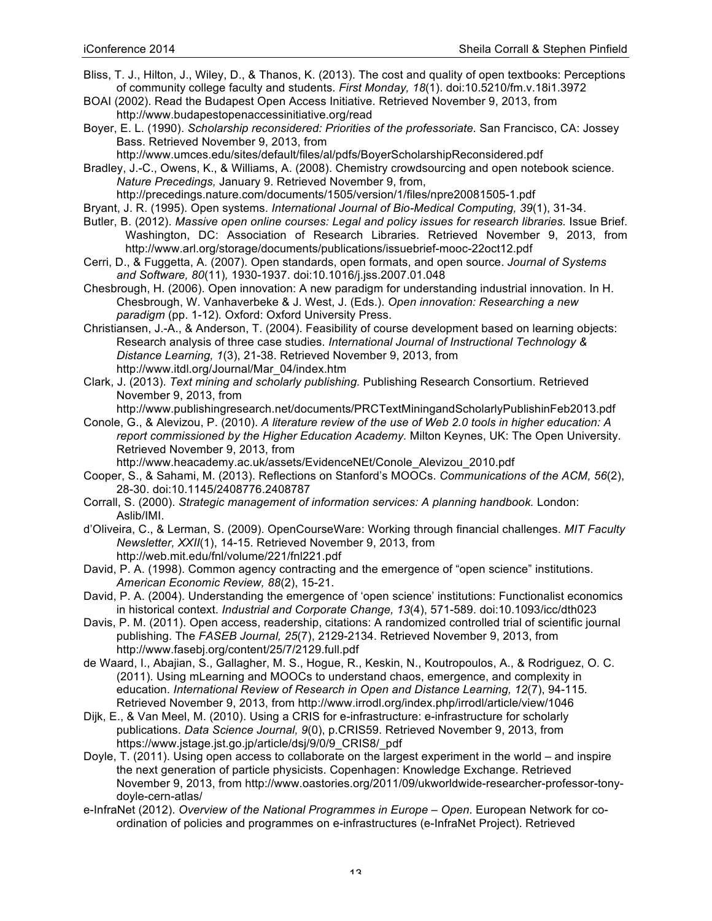- Bliss, T. J., Hilton, J., Wiley, D., & Thanos, K. (2013). The cost and quality of open textbooks: Perceptions of community college faculty and students. *First Monday, 18*(1). doi:10.5210/fm.v.18i1.3972
- BOAI (2002). Read the Budapest Open Access Initiative. Retrieved November 9, 2013, from http://www.budapestopenaccessinitiative.org/read
- Boyer, E. L. (1990). *Scholarship reconsidered: Priorities of the professoriate.* San Francisco, CA: Jossey Bass. Retrieved November 9, 2013, from
- http://www.umces.edu/sites/default/files/al/pdfs/BoyerScholarshipReconsidered.pdf Bradley, J.-C., Owens, K., & Williams, A. (2008). Chemistry crowdsourcing and open notebook science. *Nature Precedings,* January 9. Retrieved November 9, from,
- http://precedings.nature.com/documents/1505/version/1/files/npre20081505-1.pdf Bryant, J. R. (1995). Open systems. *International Journal of Bio-Medical Computing, 39*(1), 31-34.
- Butler, B. (2012). *Massive open online courses: Legal and policy issues for research libraries.* Issue Brief. Washington, DC: Association of Research Libraries. Retrieved November 9, 2013, from http://www.arl.org/storage/documents/publications/issuebrief-mooc-22oct12.pdf
- Cerri, D., & Fuggetta, A. (2007). Open standards, open formats, and open source. *Journal of Systems and Software, 80*(11)*,* 1930-1937. doi:10.1016/j.jss.2007.01.048
- Chesbrough, H. (2006). Open innovation: A new paradigm for understanding industrial innovation. In H. Chesbrough, W. Vanhaverbeke & J. West, J. (Eds.). *Open innovation: Researching a new paradigm* (pp. 1-12)*.* Oxford: Oxford University Press.
- Christiansen, J.-A., & Anderson, T. (2004). Feasibility of course development based on learning objects: Research analysis of three case studies. *International Journal of Instructional Technology & Distance Learning, 1*(3), 21-38. Retrieved November 9, 2013, from http://www.itdl.org/Journal/Mar\_04/index.htm
- Clark, J. (2013). *Text mining and scholarly publishing.* Publishing Research Consortium. Retrieved November 9, 2013, from
	- http://www.publishingresearch.net/documents/PRCTextMiningandScholarlyPublishinFeb2013.pdf
- Conole, G., & Alevizou, P. (2010). *A literature review of the use of Web 2.0 tools in higher education: A report commissioned by the Higher Education Academy.* Milton Keynes, UK: The Open University. Retrieved November 9, 2013, from
	- http://www.heacademy.ac.uk/assets/EvidenceNEt/Conole\_Alevizou\_2010.pdf
- Cooper, S., & Sahami, M. (2013). Reflections on Stanford's MOOCs. *Communications of the ACM, 56*(2), 28-30. doi:10.1145/2408776.2408787
- Corrall, S. (2000). *Strategic management of information services: A planning handbook.* London: Aslib/IMI.
- d'Oliveira, C., & Lerman, S. (2009). OpenCourseWare: Working through financial challenges. *MIT Faculty Newsletter, XXII*(1), 14-15. Retrieved November 9, 2013, from http://web.mit.edu/fnl/volume/221/fnl221.pdf
- David, P. A. (1998). Common agency contracting and the emergence of "open science" institutions. *American Economic Review, 88*(2), 15-21.
- David, P. A. (2004). Understanding the emergence of 'open science' institutions: Functionalist economics in historical context. *Industrial and Corporate Change, 13*(4), 571-589. doi:10.1093/icc/dth023
- Davis, P. M. (2011). Open access, readership, citations: A randomized controlled trial of scientific journal publishing. The *FASEB Journal, 25*(7), 2129-2134. Retrieved November 9, 2013, from http://www.fasebj.org/content/25/7/2129.full.pdf
- de Waard, I., Abajian, S., Gallagher, M. S., Hogue, R., Keskin, N., Koutropoulos, A., & Rodriguez, O. C. (2011). Using mLearning and MOOCs to understand chaos, emergence, and complexity in education. *International Review of Research in Open and Distance Learning, 12*(7), 94-115*.* Retrieved November 9, 2013, from http://www.irrodl.org/index.php/irrodl/article/view/1046
- Dijk, E., & Van Meel, M. (2010). Using a CRIS for e-infrastructure: e-infrastructure for scholarly publications. *Data Science Journal, 9*(0), p.CRIS59. Retrieved November 9, 2013, from https://www.jstage.jst.go.jp/article/dsj/9/0/9\_CRIS8/\_pdf
- Doyle, T. (2011). Using open access to collaborate on the largest experiment in the world and inspire the next generation of particle physicists. Copenhagen: Knowledge Exchange. Retrieved November 9, 2013, from http://www.oastories.org/2011/09/ukworldwide-researcher-professor-tonydoyle-cern-atlas/
- e-InfraNet (2012). *Overview of the National Programmes in Europe – Open*. European Network for coordination of policies and programmes on e-infrastructures (e-InfraNet Project). Retrieved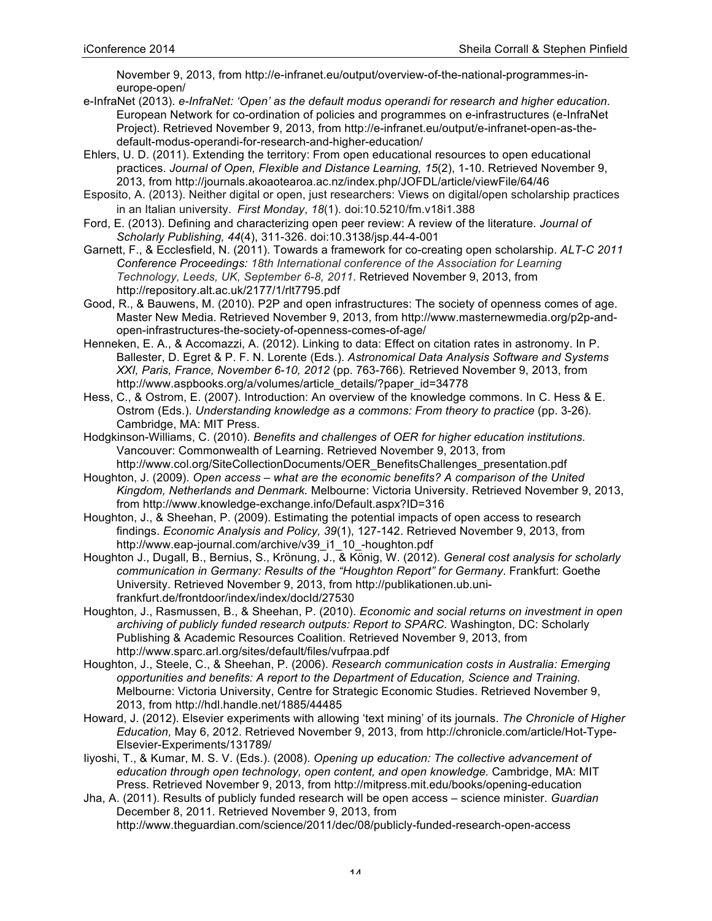November 9, 2013, from http://e-infranet.eu/output/overview-of-the-national-programmes-ineurope-open/

- e-InfraNet (2013). *e-InfraNet: 'Open' as the default modus operandi for research and higher education*. European Network for co-ordination of policies and programmes on e-infrastructures (e-InfraNet Project). Retrieved November 9, 2013, from http://e-infranet.eu/output/e-infranet-open-as-thedefault-modus-operandi-for-research-and-higher-education/
- Ehlers, U. D. (2011). Extending the territory: From open educational resources to open educational practices. *Journal of Open, Flexible and Distance Learning, 15*(2), 1-10. Retrieved November 9, 2013, from http://journals.akoaotearoa.ac.nz/index.php/JOFDL/article/viewFile/64/46
- Esposito, A. (2013). Neither digital or open, just researchers: Views on digital/open scholarship practices in an Italian university. *First Monday*, *18*(1). doi:10.5210/fm.v18i1.388
- Ford, E. (2013). Defining and characterizing open peer review: A review of the literature. *Journal of Scholarly Publishing, 44*(4), 311-326. doi:10.3138/jsp.44-4-001
- Garnett, F., & Ecclesfield, N. (2011). Towards a framework for co-creating open scholarship. *ALT-C 2011 Conference Proceedings: 18th International conference of the Association for Learning Technology, Leeds, UK, September 6-8, 2011*. Retrieved November 9, 2013, from http://repository.alt.ac.uk/2177/1/rlt7795.pdf
- Good, R., & Bauwens, M. (2010). P2P and open infrastructures: The society of openness comes of age. Master New Media. Retrieved November 9, 2013, from http://www.masternewmedia.org/p2p-andopen-infrastructures-the-society-of-openness-comes-of-age/
- Henneken, E. A., & Accomazzi, A. (2012). Linking to data: Effect on citation rates in astronomy. In P. Ballester, D. Egret & P. F. N. Lorente (Eds.). *Astronomical Data Analysis Software and Systems XXI, Paris, France, November 6-10, 2012* (pp. 763-766)*.* Retrieved November 9, 2013, from http://www.aspbooks.org/a/volumes/article\_details/?paper\_id=34778
- Hess, C., & Ostrom, E. (2007). Introduction: An overview of the knowledge commons. In C. Hess & E. Ostrom (Eds.). *Understanding knowledge as a commons: From theory to practice* (pp. 3-26). Cambridge, MA: MIT Press.
- Hodgkinson-Williams, C. (2010). *Benefits and challenges of OER for higher education institutions.*  Vancouver: Commonwealth of Learning. Retrieved November 9, 2013, from http://www.col.org/SiteCollectionDocuments/OER\_BenefitsChallenges\_presentation.pdf
- Houghton, J. (2009). *Open access – what are the economic benefits? A comparison of the United Kingdom, Netherlands and Denmark.* Melbourne: Victoria University. Retrieved November 9, 2013, from http://www.knowledge-exchange.info/Default.aspx?ID=316
- Houghton, J., & Sheehan, P. (2009). Estimating the potential impacts of open access to research findings. *Economic Analysis and Policy, 39*(1), 127-142. Retrieved November 9, 2013, from http://www.eap-journal.com/archive/v39\_i1\_10\_-houghton.pdf
- Houghton J., Dugall, B., Bernius, S., Krönung, J., & König, W. (2012). *General cost analysis for scholarly communication in Germany: Results of the "Houghton Report" for Germany*. Frankfurt: Goethe University. Retrieved November 9, 2013, from http://publikationen.ub.unifrankfurt.de/frontdoor/index/index/docId/27530
- Houghton, J., Rasmussen, B., & Sheehan, P. (2010). *Economic and social returns on investment in open archiving of publicly funded research outputs: Report to SPARC.* Washington, DC: Scholarly Publishing & Academic Resources Coalition. Retrieved November 9, 2013, from http://www.sparc.arl.org/sites/default/files/vufrpaa.pdf
- Houghton, J., Steele, C., & Sheehan, P. (2006). *Research communication costs in Australia: Emerging opportunities and benefits: A report to the Department of Education, Science and Training.*  Melbourne: Victoria University, Centre for Strategic Economic Studies. Retrieved November 9, 2013, from http://hdl.handle.net/1885/44485
- Howard, J. (2012). Elsevier experiments with allowing 'text mining' of its journals. *The Chronicle of Higher Education,* May 6, 2012. Retrieved November 9, 2013, from http://chronicle.com/article/Hot-Type-Elsevier-Experiments/131789/
- Iiyoshi, T., & Kumar, M. S. V. (Eds.). (2008). *Opening up education: The collective advancement of education through open technology, open content, and open knowledge.* Cambridge, MA: MIT Press. Retrieved November 9, 2013, from http://mitpress.mit.edu/books/opening-education

Jha, A. (2011). Results of publicly funded research will be open access – science minister. *Guardian* December 8, 2011. Retrieved November 9, 2013, from http://www.theguardian.com/science/2011/dec/08/publicly-funded-research-open-access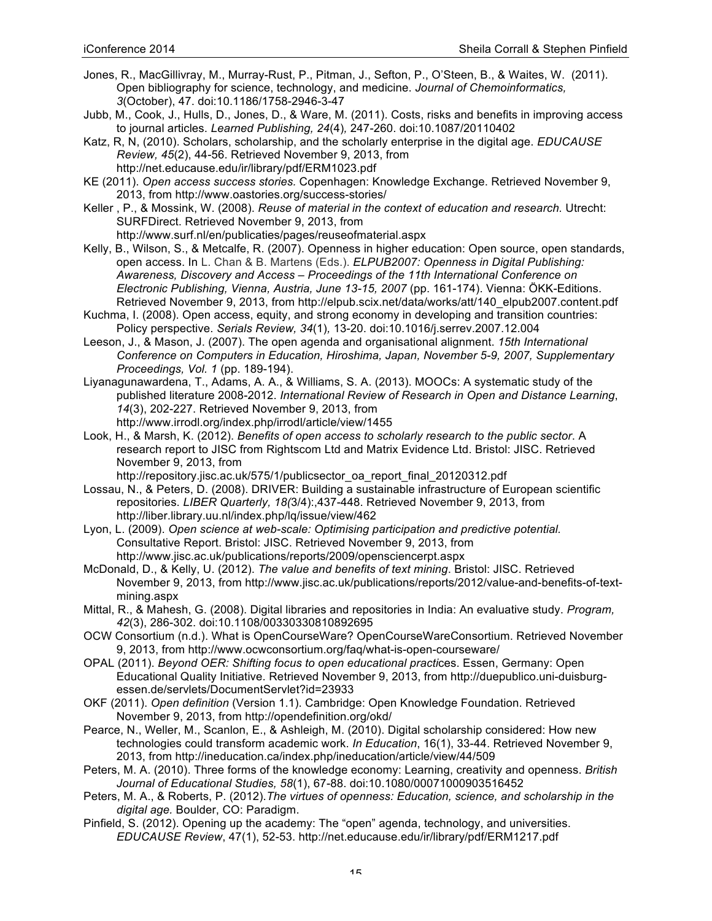- Jones, R., MacGillivray, M., Murray-Rust, P., Pitman, J., Sefton, P., O'Steen, B., & Waites, W. (2011). Open bibliography for science, technology, and medicine. *Journal of Chemoinformatics, 3*(October), 47. doi:10.1186/1758-2946-3-47
- Jubb, M., Cook, J., Hulls, D., Jones, D., & Ware, M. (2011). Costs, risks and benefits in improving access to journal articles. *Learned Publishing, 24*(4)*,* 247-260. doi:10.1087/20110402
- Katz, R, N, (2010). Scholars, scholarship, and the scholarly enterprise in the digital age. *EDUCAUSE Review, 45*(2), 44-56. Retrieved November 9, 2013, from http://net.educause.edu/ir/library/pdf/ERM1023.pdf
- KE (2011). *Open access success stories.* Copenhagen: Knowledge Exchange. Retrieved November 9, 2013, from http://www.oastories.org/success-stories/
- Keller , P., & Mossink, W. (2008). *Reuse of material in the context of education and research.* Utrecht: SURFDirect. Retrieved November 9, 2013, from http://www.surf.nl/en/publicaties/pages/reuseofmaterial.aspx
- Kelly, B., Wilson, S., & Metcalfe, R. (2007). Openness in higher education: Open source, open standards, open access. In L. Chan & B. Martens (Eds.). *ELPUB2007: Openness in Digital Publishing: Awareness, Discovery and Access – Proceedings of the 11th International Conference on Electronic Publishing, Vienna, Austria, June 13-15, 2007* (pp. 161-174). Vienna: ÖKK-Editions. Retrieved November 9, 2013, from http://elpub.scix.net/data/works/att/140\_elpub2007.content.pdf
- Kuchma, I. (2008). Open access, equity, and strong economy in developing and transition countries: Policy perspective. *Serials Review, 34*(1)*,* 13-20. doi:10.1016/j.serrev.2007.12.004
- Leeson, J., & Mason, J. (2007). The open agenda and organisational alignment. *15th International Conference on Computers in Education, Hiroshima, Japan, November 5-9, 2007, Supplementary Proceedings, Vol. 1* (pp. 189-194).
- Liyanagunawardena, T., Adams, A. A., & Williams, S. A. (2013). MOOCs: A systematic study of the published literature 2008-2012. *International Review of Research in Open and Distance Learning*, *14*(3), 202-227. Retrieved November 9, 2013, from http://www.irrodl.org/index.php/irrodl/article/view/1455
- Look, H., & Marsh, K. (2012). *Benefits of open access to scholarly research to the public sector*. A research report to JISC from Rightscom Ltd and Matrix Evidence Ltd. Bristol: JISC. Retrieved November 9, 2013, from

http://repository.jisc.ac.uk/575/1/publicsector\_oa\_report\_final\_20120312.pdf

- Lossau, N., & Peters, D. (2008). DRIVER: Building a sustainable infrastructure of European scientific repositories. *LIBER Quarterly, 18(*3/4):,437-448. Retrieved November 9, 2013, from http://liber.library.uu.nl/index.php/lq/issue/view/462
- Lyon, L. (2009). *Open science at web-scale: Optimising participation and predictive potential.*  Consultative Report. Bristol: JISC. Retrieved November 9, 2013, from http://www.jisc.ac.uk/publications/reports/2009/opensciencerpt.aspx
- McDonald, D., & Kelly, U. (2012). *The value and benefits of text mining*. Bristol: JISC. Retrieved November 9, 2013, from http://www.jisc.ac.uk/publications/reports/2012/value-and-benefits-of-textmining.aspx
- Mittal, R., & Mahesh, G. (2008). Digital libraries and repositories in India: An evaluative study. *Program, 42*(3), 286-302. doi:10.1108/00330330810892695
- OCW Consortium (n.d.). What is OpenCourseWare? OpenCourseWareConsortium. Retrieved November 9, 2013, from http://www.ocwconsortium.org/faq/what-is-open-courseware/
- OPAL (2011). *Beyond OER: Shifting focus to open educational practi*ces. Essen, Germany: Open Educational Quality Initiative. Retrieved November 9, 2013, from http://duepublico.uni-duisburgessen.de/servlets/DocumentServlet?id=23933
- OKF (2011). *Open definition* (Version 1.1). Cambridge: Open Knowledge Foundation. Retrieved November 9, 2013, from http://opendefinition.org/okd/
- Pearce, N., Weller, M., Scanlon, E., & Ashleigh, M. (2010). Digital scholarship considered: How new technologies could transform academic work. *In Education*, 16(1), 33-44. Retrieved November 9, 2013, from http://ineducation.ca/index.php/ineducation/article/view/44/509
- Peters, M. A. (2010). Three forms of the knowledge economy: Learning, creativity and openness. *British Journal of Educational Studies, 58*(1), 67-88. doi:10.1080/00071000903516452
- Peters, M. A., & Roberts, P. (2012).*The virtues of openness: Education, science, and scholarship in the digital age.* Boulder, CO: Paradigm.
- Pinfield, S. (2012). Opening up the academy: The "open" agenda, technology, and universities. *EDUCAUSE Review*, 47(1), 52-53. http://net.educause.edu/ir/library/pdf/ERM1217.pdf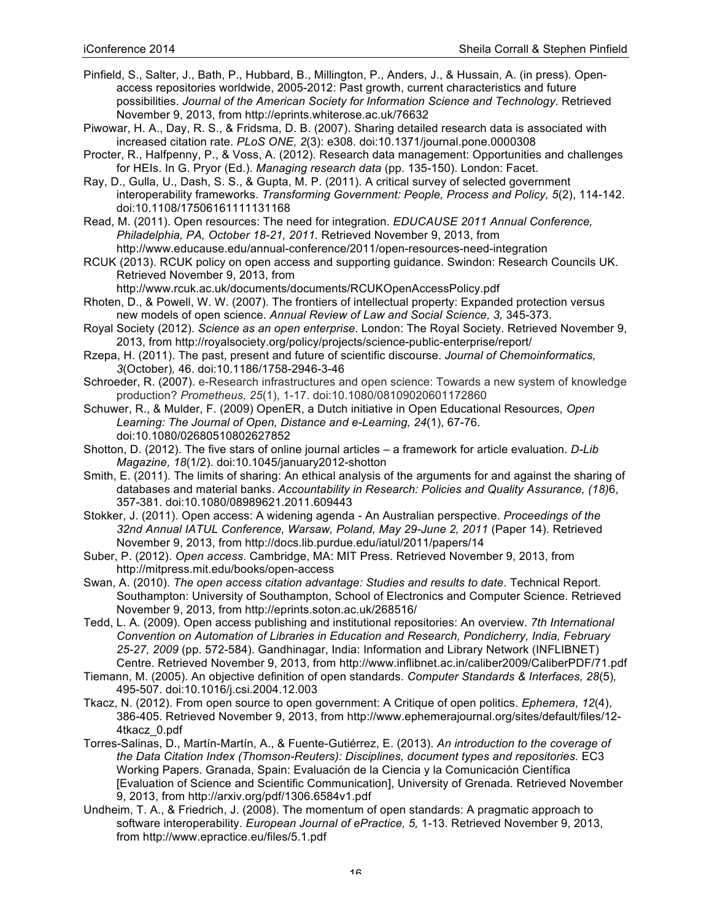- Pinfield, S., Salter, J., Bath, P., Hubbard, B., Millington, P., Anders, J., & Hussain, A. (in press). Openaccess repositories worldwide, 2005-2012: Past growth, current characteristics and future possibilities. *Journal of the American Society for Information Science and Technology*. Retrieved November 9, 2013, from http://eprints.whiterose.ac.uk/76632
- Piwowar, H. A., Day, R. S., & Fridsma, D. B. (2007). Sharing detailed research data is associated with increased citation rate. *PLoS ONE, 2*(3): e308. doi:10.1371/journal.pone.0000308
- Procter, R., Halfpenny, P., & Voss, A. (2012). Research data management: Opportunities and challenges for HEIs. In G. Pryor (Ed.). *Managing research data* (pp. 135-150). London: Facet.
- Ray, D., Gulla, U., Dash, S. S., & Gupta, M. P. (2011). A critical survey of selected government interoperability frameworks. *Transforming Government: People, Process and Policy, 5*(2), 114-142. doi:10.1108/17506161111131168
- Read, M. (2011). Open resources: The need for integration. *EDUCAUSE 2011 Annual Conference, Philadelphia, PA, October 18-21, 2011.* Retrieved November 9, 2013, from http://www.educause.edu/annual-conference/2011/open-resources-need-integration
- RCUK (2013). RCUK policy on open access and supporting guidance. Swindon: Research Councils UK. Retrieved November 9, 2013, from
	- http://www.rcuk.ac.uk/documents/documents/RCUKOpenAccessPolicy.pdf
- Rhoten, D., & Powell, W. W. (2007). The frontiers of intellectual property: Expanded protection versus new models of open science. *Annual Review of Law and Social Science, 3,* 345-373.
- Royal Society (2012). *Science as an open enterprise*. London: The Royal Society. Retrieved November 9, 2013, from http://royalsociety.org/policy/projects/science-public-enterprise/report/
- Rzepa, H. (2011). The past, present and future of scientific discourse. *Journal of Chemoinformatics, 3*(October)*,* 46. doi:10.1186/1758-2946-3-46
- Schroeder, R. (2007). e-Research infrastructures and open science: Towards a new system of knowledge production? *Prometheus, 25*(1), 1-17. doi:10.1080/08109020601172860
- Schuwer, R., & Mulder, F. (2009) OpenER, a Dutch initiative in Open Educational Resources, *Open Learning: The Journal of Open, Distance and e-Learning, 24*(1), 67-76. doi:10.1080/02680510802627852
- Shotton, D. (2012). The five stars of online journal articles a framework for article evaluation. *D-Lib Magazine, 18*(1/2). doi:10.1045/january2012-shotton
- Smith, E. (2011). The limits of sharing: An ethical analysis of the arguments for and against the sharing of databases and material banks. *Accountability in Research: Policies and Quality Assurance, (18)*6, 357-381. doi:10.1080/08989621.2011.609443
- Stokker, J. (2011). Open access: A widening agenda An Australian perspective. *Proceedings of the 32nd Annual IATUL Conference, Warsaw, Poland, May 29-June 2, 2011* (Paper 14). Retrieved November 9, 2013, from http://docs.lib.purdue.edu/iatul/2011/papers/14
- Suber, P. (2012). *Open access*. Cambridge, MA: MIT Press. Retrieved November 9, 2013, from http://mitpress.mit.edu/books/open-access
- Swan, A. (2010). *The open access citation advantage: Studies and results to date*. Technical Report. Southampton: University of Southampton, School of Electronics and Computer Science. Retrieved November 9, 2013, from http://eprints.soton.ac.uk/268516/
- Tedd, L. A. (2009). Open access publishing and institutional repositories: An overview. *7th International Convention on Automation of Libraries in Education and Research, Pondicherry, India, February 25-27, 2009* (pp. 572-584). Gandhinagar, India: Information and Library Network (INFLIBNET) Centre. Retrieved November 9, 2013, from http://www.inflibnet.ac.in/caliber2009/CaliberPDF/71.pdf
- Tiemann, M. (2005). An objective definition of open standards. *Computer Standards & Interfaces, 28*(5)*,*  495-507. doi:10.1016/j.csi.2004.12.003
- Tkacz, N. (2012). From open source to open government: A Critique of open politics. *Ephemera, 12*(4), 386-405. Retrieved November 9, 2013, from http://www.ephemerajournal.org/sites/default/files/12- 4tkacz\_0.pdf
- Torres-Salinas, D., Martín-Martín, A., & Fuente-Gutiérrez, E. (2013). *An introduction to the coverage of the Data Citation Index (Thomson-Reuters): Disciplines, document types and repositories.* EC3 Working Papers. Granada, Spain: Evaluación de la Ciencia y la Comunicación Científica [Evaluation of Science and Scientific Communication], University of Grenada. Retrieved November 9, 2013, from http://arxiv.org/pdf/1306.6584v1.pdf
- Undheim, T. A., & Friedrich, J. (2008). The momentum of open standards: A pragmatic approach to software interoperability. *European Journal of ePractice, 5,* 1-13. Retrieved November 9, 2013, from http://www.epractice.eu/files/5.1.pdf